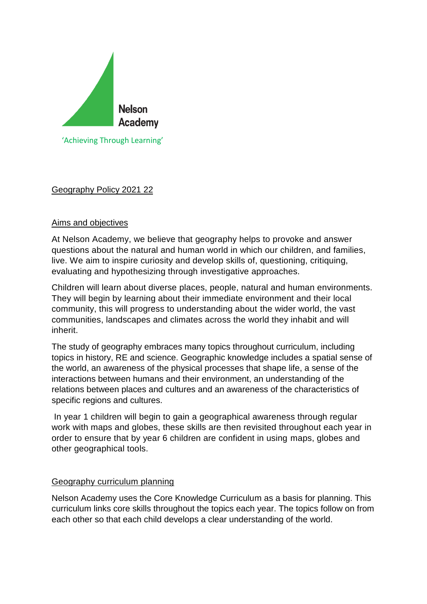

# Geography Policy 2021 22

## Aims and objectives

At Nelson Academy, we believe that geography helps to provoke and answer questions about the natural and human world in which our children, and families, live. We aim to inspire curiosity and develop skills of, questioning, critiquing, evaluating and hypothesizing through investigative approaches.

Children will learn about diverse places, people, natural and human environments. They will begin by learning about their immediate environment and their local community, this will progress to understanding about the wider world, the vast communities, landscapes and climates across the world they inhabit and will inherit.

The study of geography embraces many topics throughout curriculum, including topics in history, RE and science. Geographic knowledge includes a spatial sense of the world, an awareness of the physical processes that shape life, a sense of the interactions between humans and their environment, an understanding of the relations between places and cultures and an awareness of the characteristics of specific regions and cultures.

In year 1 children will begin to gain a geographical awareness through regular work with maps and globes, these skills are then revisited throughout each year in order to ensure that by year 6 children are confident in using maps, globes and other geographical tools.

#### Geography curriculum planning

Nelson Academy uses the Core Knowledge Curriculum as a basis for planning. This curriculum links core skills throughout the topics each year. The topics follow on from each other so that each child develops a clear understanding of the world.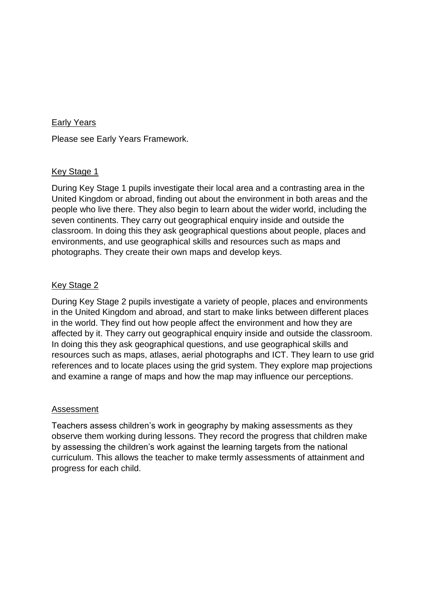### Early Years

Please see Early Years Framework.

#### Key Stage 1

During Key Stage 1 pupils investigate their local area and a contrasting area in the United Kingdom or abroad, finding out about the environment in both areas and the people who live there. They also begin to learn about the wider world, including the seven continents. They carry out geographical enquiry inside and outside the classroom. In doing this they ask geographical questions about people, places and environments, and use geographical skills and resources such as maps and photographs. They create their own maps and develop keys.

## Key Stage 2

During Key Stage 2 pupils investigate a variety of people, places and environments in the United Kingdom and abroad, and start to make links between different places in the world. They find out how people affect the environment and how they are affected by it. They carry out geographical enquiry inside and outside the classroom. In doing this they ask geographical questions, and use geographical skills and resources such as maps, atlases, aerial photographs and ICT. They learn to use grid references and to locate places using the grid system. They explore map projections and examine a range of maps and how the map may influence our perceptions.

#### Assessment

Teachers assess children's work in geography by making assessments as they observe them working during lessons. They record the progress that children make by assessing the children's work against the learning targets from the national curriculum. This allows the teacher to make termly assessments of attainment and progress for each child.